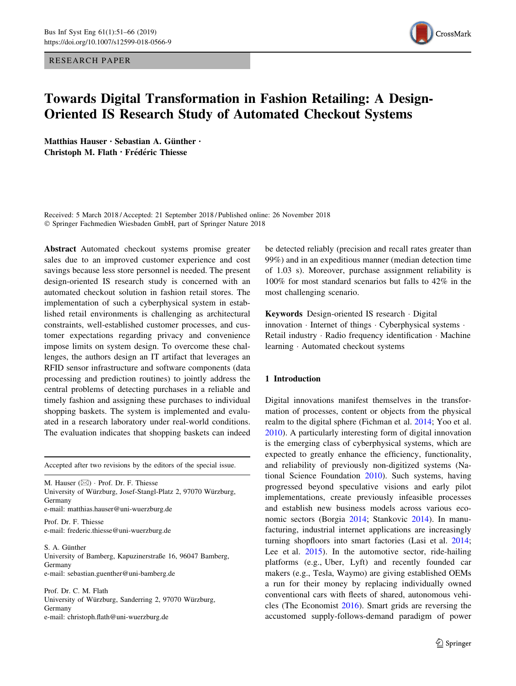RESEARCH PAPER



# Towards Digital Transformation in Fashion Retailing: A Design-Oriented IS Research Study of Automated Checkout Systems

Matthias Hauser · Sebastian A. Günther · Christoph M. Flath · Frédéric Thiesse

Received: 5 March 2018 / Accepted: 21 September 2018 / Published online: 26 November 2018 - Springer Fachmedien Wiesbaden GmbH, part of Springer Nature 2018

Abstract Automated checkout systems promise greater sales due to an improved customer experience and cost savings because less store personnel is needed. The present design-oriented IS research study is concerned with an automated checkout solution in fashion retail stores. The implementation of such a cyberphysical system in established retail environments is challenging as architectural constraints, well-established customer processes, and customer expectations regarding privacy and convenience impose limits on system design. To overcome these challenges, the authors design an IT artifact that leverages an RFID sensor infrastructure and software components (data processing and prediction routines) to jointly address the central problems of detecting purchases in a reliable and timely fashion and assigning these purchases to individual shopping baskets. The system is implemented and evaluated in a research laboratory under real-world conditions. The evaluation indicates that shopping baskets can indeed

Accepted after two revisions by the editors of the special issue.

M. Hauser (⊠) · Prof. Dr. F. Thiesse University of Würzburg, Josef-Stangl-Platz 2, 97070 Würzburg, Germany e-mail: matthias.hauser@uni-wuerzburg.de

Prof. Dr. F. Thiesse e-mail: frederic.thiesse@uni-wuerzburg.de

S. A. Günther University of Bamberg, Kapuzinerstraße 16, 96047 Bamberg, Germany e-mail: sebastian.guenther@uni-bamberg.de

Prof. Dr. C. M. Flath University of Würzburg, Sanderring 2, 97070 Würzburg, Germany e-mail: christoph.flath@uni-wuerzburg.de

be detected reliably (precision and recall rates greater than 99%) and in an expeditious manner (median detection time of 1.03 s). Moreover, purchase assignment reliability is 100% for most standard scenarios but falls to 42% in the most challenging scenario.

Keywords Design-oriented IS research - Digital innovation - Internet of things - Cyberphysical systems - Retail industry - Radio frequency identification - Machine learning - Automated checkout systems

# 1 Introduction

Digital innovations manifest themselves in the transformation of processes, content or objects from the physical realm to the digital sphere (Fichman et al. [2014;](#page-14-0) Yoo et al. [2010](#page-15-0)). A particularly interesting form of digital innovation is the emerging class of cyberphysical systems, which are expected to greatly enhance the efficiency, functionality, and reliability of previously non-digitized systems (National Science Foundation [2010](#page-14-0)). Such systems, having progressed beyond speculative visions and early pilot implementations, create previously infeasible processes and establish new business models across various economic sectors (Borgia [2014](#page-14-0); Stankovic [2014](#page-15-0)). In manufacturing, industrial internet applications are increasingly turning shopfloors into smart factories (Lasi et al. [2014](#page-14-0); Lee et al. [2015](#page-14-0)). In the automotive sector, ride-hailing platforms (e.g., Uber, Lyft) and recently founded car makers (e.g., Tesla, Waymo) are giving established OEMs a run for their money by replacing individually owned conventional cars with fleets of shared, autonomous vehicles (The Economist [2016](#page-15-0)). Smart grids are reversing the accustomed supply-follows-demand paradigm of power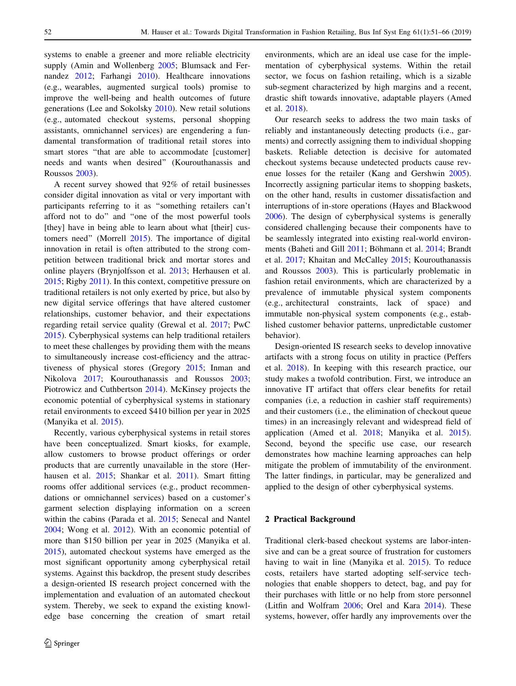<span id="page-1-0"></span>systems to enable a greener and more reliable electricity supply (Amin and Wollenberg [2005](#page-13-0); Blumsack and Fer-nandez [2012](#page-14-0); Farhangi [2010\)](#page-14-0). Healthcare innovations (e.g., wearables, augmented surgical tools) promise to improve the well-being and health outcomes of future generations (Lee and Sokolsky [2010\)](#page-14-0). New retail solutions (e.g., automated checkout systems, personal shopping assistants, omnichannel services) are engendering a fundamental transformation of traditional retail stores into smart stores ''that are able to accommodate [customer] needs and wants when desired'' (Kourouthanassis and Roussos [2003](#page-14-0)).

A recent survey showed that 92% of retail businesses consider digital innovation as vital or very important with participants referring to it as ''something retailers can't afford not to do'' and ''one of the most powerful tools [they] have in being able to learn about what [their] customers need'' (Morrell [2015](#page-14-0)). The importance of digital innovation in retail is often attributed to the strong competition between traditional brick and mortar stores and online players (Brynjolfsson et al. [2013;](#page-14-0) Herhausen et al. [2015;](#page-14-0) Rigby [2011](#page-15-0)). In this context, competitive pressure on traditional retailers is not only exerted by price, but also by new digital service offerings that have altered customer relationships, customer behavior, and their expectations regarding retail service quality (Grewal et al. [2017](#page-14-0); PwC [2015\)](#page-15-0). Cyberphysical systems can help traditional retailers to meet these challenges by providing them with the means to simultaneously increase cost-efficiency and the attractiveness of physical stores (Gregory [2015](#page-14-0); Inman and Nikolova [2017](#page-14-0); Kourouthanassis and Roussos [2003](#page-14-0); Piotrowicz and Cuthbertson [2014\)](#page-15-0). McKinsey projects the economic potential of cyberphysical systems in stationary retail environments to exceed \$410 billion per year in 2025 (Manyika et al. [2015\)](#page-14-0).

Recently, various cyberphysical systems in retail stores have been conceptualized. Smart kiosks, for example, allow customers to browse product offerings or order products that are currently unavailable in the store (Herhausen et al. [2015;](#page-14-0) Shankar et al. [2011\)](#page-15-0). Smart fitting rooms offer additional services (e.g., product recommendations or omnichannel services) based on a customer's garment selection displaying information on a screen within the cabins (Parada et al. [2015](#page-15-0); Senecal and Nantel [2004;](#page-15-0) Wong et al. [2012\)](#page-15-0). With an economic potential of more than \$150 billion per year in 2025 (Manyika et al. [2015\)](#page-14-0), automated checkout systems have emerged as the most significant opportunity among cyberphysical retail systems. Against this backdrop, the present study describes a design-oriented IS research project concerned with the implementation and evaluation of an automated checkout system. Thereby, we seek to expand the existing knowledge base concerning the creation of smart retail environments, which are an ideal use case for the implementation of cyberphysical systems. Within the retail sector, we focus on fashion retailing, which is a sizable sub-segment characterized by high margins and a recent, drastic shift towards innovative, adaptable players (Amed et al. [2018\)](#page-13-0).

Our research seeks to address the two main tasks of reliably and instantaneously detecting products (i.e., garments) and correctly assigning them to individual shopping baskets. Reliable detection is decisive for automated checkout systems because undetected products cause revenue losses for the retailer (Kang and Gershwin [2005](#page-14-0)). Incorrectly assigning particular items to shopping baskets, on the other hand, results in customer dissatisfaction and interruptions of in-store operations (Hayes and Blackwood [2006](#page-14-0)). The design of cyberphysical systems is generally considered challenging because their components have to be seamlessly integrated into existing real-world environ-ments (Baheti and Gill [2011;](#page-13-0) Böhmann et al. [2014](#page-14-0); Brandt et al. [2017;](#page-14-0) Khaitan and McCalley [2015;](#page-14-0) Kourouthanassis and Roussos [2003\)](#page-14-0). This is particularly problematic in fashion retail environments, which are characterized by a prevalence of immutable physical system components (e.g., architectural constraints, lack of space) and immutable non-physical system components (e.g., established customer behavior patterns, unpredictable customer behavior).

Design-oriented IS research seeks to develop innovative artifacts with a strong focus on utility in practice (Peffers et al. [2018](#page-15-0)). In keeping with this research practice, our study makes a twofold contribution. First, we introduce an innovative IT artifact that offers clear benefits for retail companies (i.e, a reduction in cashier staff requirements) and their customers (i.e., the elimination of checkout queue times) in an increasingly relevant and widespread field of application (Amed et al. [2018](#page-13-0); Manyika et al. [2015](#page-14-0)). Second, beyond the specific use case, our research demonstrates how machine learning approaches can help mitigate the problem of immutability of the environment. The latter findings, in particular, may be generalized and applied to the design of other cyberphysical systems.

# 2 Practical Background

Traditional clerk-based checkout systems are labor-intensive and can be a great source of frustration for customers having to wait in line (Manyika et al. [2015\)](#page-14-0). To reduce costs, retailers have started adopting self-service technologies that enable shoppers to detect, bag, and pay for their purchases with little or no help from store personnel (Litfin and Wolfram [2006](#page-14-0); Orel and Kara [2014\)](#page-14-0). These systems, however, offer hardly any improvements over the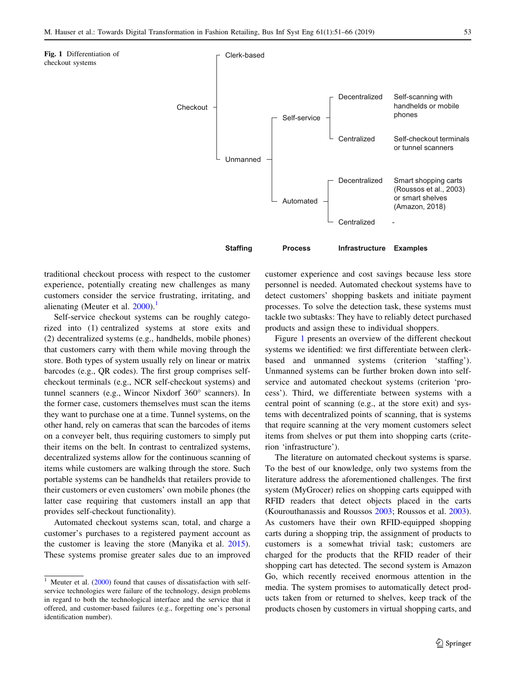

traditional checkout process with respect to the customer experience, potentially creating new challenges as many customers consider the service frustrating, irritating, and alienating (Meuter et al.  $2000$ ).<sup>1</sup>

Self-service checkout systems can be roughly categorized into (1) centralized systems at store exits and (2) decentralized systems (e.g., handhelds, mobile phones) that customers carry with them while moving through the store. Both types of system usually rely on linear or matrix barcodes (e.g., QR codes). The first group comprises selfcheckout terminals (e.g., NCR self-checkout systems) and tunnel scanners (e.g., Wincor Nixdorf 360° scanners). In the former case, customers themselves must scan the items they want to purchase one at a time. Tunnel systems, on the other hand, rely on cameras that scan the barcodes of items on a conveyer belt, thus requiring customers to simply put their items on the belt. In contrast to centralized systems, decentralized systems allow for the continuous scanning of items while customers are walking through the store. Such portable systems can be handhelds that retailers provide to their customers or even customers' own mobile phones (the latter case requiring that customers install an app that provides self-checkout functionality).

Automated checkout systems scan, total, and charge a customer's purchases to a registered payment account as the customer is leaving the store (Manyika et al. [2015](#page-14-0)). These systems promise greater sales due to an improved

customer experience and cost savings because less store personnel is needed. Automated checkout systems have to detect customers' shopping baskets and initiate payment processes. To solve the detection task, these systems must tackle two subtasks: They have to reliably detect purchased products and assign these to individual shoppers.

Figure 1 presents an overview of the different checkout systems we identified: we first differentiate between clerkbased and unmanned systems (criterion 'staffing'). Unmanned systems can be further broken down into selfservice and automated checkout systems (criterion 'process'). Third, we differentiate between systems with a central point of scanning (e.g., at the store exit) and systems with decentralized points of scanning, that is systems that require scanning at the very moment customers select items from shelves or put them into shopping carts (criterion 'infrastructure').

The literature on automated checkout systems is sparse. To the best of our knowledge, only two systems from the literature address the aforementioned challenges. The first system (MyGrocer) relies on shopping carts equipped with RFID readers that detect objects placed in the carts (Kourouthanassis and Roussos [2003;](#page-14-0) Roussos et al. [2003](#page-15-0)). As customers have their own RFID-equipped shopping carts during a shopping trip, the assignment of products to customers is a somewhat trivial task; customers are charged for the products that the RFID reader of their shopping cart has detected. The second system is Amazon Go, which recently received enormous attention in the media. The system promises to automatically detect products taken from or returned to shelves, keep track of the products chosen by customers in virtual shopping carts, and

 $\frac{1}{1}$  Meuter et al. ([2000\)](#page-14-0) found that causes of dissatisfaction with selfservice technologies were failure of the technology, design problems in regard to both the technological interface and the service that it offered, and customer-based failures (e.g., forgetting one's personal identification number).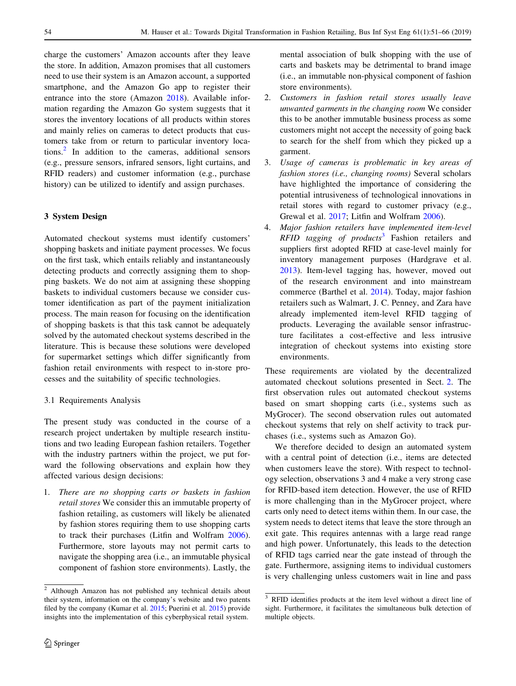charge the customers' Amazon accounts after they leave the store. In addition, Amazon promises that all customers need to use their system is an Amazon account, a supported smartphone, and the Amazon Go app to register their entrance into the store (Amazon [2018](#page-13-0)). Available information regarding the Amazon Go system suggests that it stores the inventory locations of all products within stores and mainly relies on cameras to detect products that customers take from or return to particular inventory locations.<sup>2</sup> In addition to the cameras, additional sensors (e.g., pressure sensors, infrared sensors, light curtains, and RFID readers) and customer information (e.g., purchase history) can be utilized to identify and assign purchases.

# 3 System Design

Automated checkout systems must identify customers' shopping baskets and initiate payment processes. We focus on the first task, which entails reliably and instantaneously detecting products and correctly assigning them to shopping baskets. We do not aim at assigning these shopping baskets to individual customers because we consider customer identification as part of the payment initialization process. The main reason for focusing on the identification of shopping baskets is that this task cannot be adequately solved by the automated checkout systems described in the literature. This is because these solutions were developed for supermarket settings which differ significantly from fashion retail environments with respect to in-store processes and the suitability of specific technologies.

# 3.1 Requirements Analysis

The present study was conducted in the course of a research project undertaken by multiple research institutions and two leading European fashion retailers. Together with the industry partners within the project, we put forward the following observations and explain how they affected various design decisions:

1. There are no shopping carts or baskets in fashion retail stores We consider this an immutable property of fashion retailing, as customers will likely be alienated by fashion stores requiring them to use shopping carts to track their purchases (Litfin and Wolfram [2006](#page-14-0)). Furthermore, store layouts may not permit carts to navigate the shopping area (i.e., an immutable physical component of fashion store environments). Lastly, the mental association of bulk shopping with the use of carts and baskets may be detrimental to brand image (i.e., an immutable non-physical component of fashion store environments).

- 2. Customers in fashion retail stores usually leave unwanted garments in the changing room We consider this to be another immutable business process as some customers might not accept the necessity of going back to search for the shelf from which they picked up a garment.
- 3. Usage of cameras is problematic in key areas of fashion stores (i.e., changing rooms) Several scholars have highlighted the importance of considering the potential intrusiveness of technological innovations in retail stores with regard to customer privacy (e.g., Grewal et al. [2017;](#page-14-0) Litfin and Wolfram [2006\)](#page-14-0).
- 4. Major fashion retailers have implemented item-level RFID tagging of products<sup>3</sup> Fashion retailers and suppliers first adopted RFID at case-level mainly for inventory management purposes (Hardgrave et al. [2013](#page-14-0)). Item-level tagging has, however, moved out of the research environment and into mainstream commerce (Barthel et al. [2014\)](#page-13-0). Today, major fashion retailers such as Walmart, J. C. Penney, and Zara have already implemented item-level RFID tagging of products. Leveraging the available sensor infrastructure facilitates a cost-effective and less intrusive integration of checkout systems into existing store environments.

These requirements are violated by the decentralized automated checkout solutions presented in Sect. [2.](#page-1-0) The first observation rules out automated checkout systems based on smart shopping carts (i.e., systems such as MyGrocer). The second observation rules out automated checkout systems that rely on shelf activity to track purchases (i.e., systems such as Amazon Go).

We therefore decided to design an automated system with a central point of detection (i.e., items are detected when customers leave the store). With respect to technology selection, observations 3 and 4 make a very strong case for RFID-based item detection. However, the use of RFID is more challenging than in the MyGrocer project, where carts only need to detect items within them. In our case, the system needs to detect items that leave the store through an exit gate. This requires antennas with a large read range and high power. Unfortunately, this leads to the detection of RFID tags carried near the gate instead of through the gate. Furthermore, assigning items to individual customers is very challenging unless customers wait in line and pass

 $\frac{2}{3}$  Although Amazon has not published any technical details about their system, information on the company's website and two patents filed by the company (Kumar et al. [2015](#page-14-0); Puerini et al. [2015](#page-15-0)) provide insights into the implementation of this cyberphysical retail system.

<sup>3</sup> RFID identifies products at the item level without a direct line of sight. Furthermore, it facilitates the simultaneous bulk detection of multiple objects.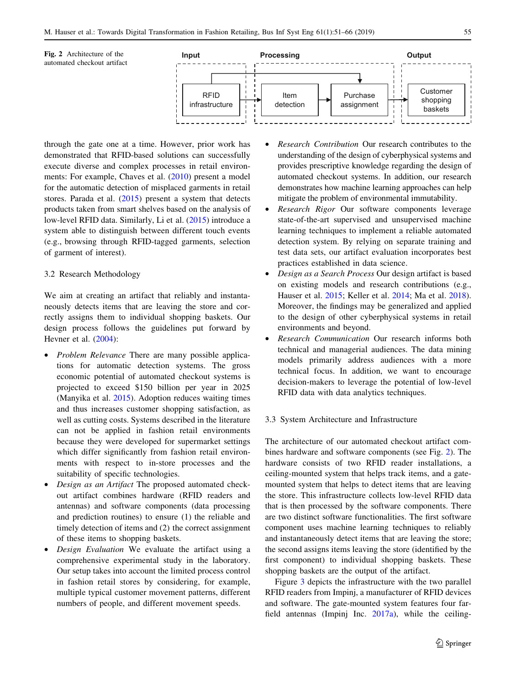

through the gate one at a time. However, prior work has demonstrated that RFID-based solutions can successfully execute diverse and complex processes in retail environments: For example, Chaves et al. ([2010\)](#page-14-0) present a model for the automatic detection of misplaced garments in retail stores. Parada et al. [\(2015](#page-15-0)) present a system that detects products taken from smart shelves based on the analysis of low-level RFID data. Similarly, Li et al. [\(2015](#page-14-0)) introduce a system able to distinguish between different touch events (e.g., browsing through RFID-tagged garments, selection of garment of interest).

## 3.2 Research Methodology

We aim at creating an artifact that reliably and instantaneously detects items that are leaving the store and correctly assigns them to individual shopping baskets. Our design process follows the guidelines put forward by Hevner et al. ([2004\)](#page-14-0):

- Problem Relevance There are many possible applications for automatic detection systems. The gross economic potential of automated checkout systems is projected to exceed \$150 billion per year in 2025 (Manyika et al. [2015\)](#page-14-0). Adoption reduces waiting times and thus increases customer shopping satisfaction, as well as cutting costs. Systems described in the literature can not be applied in fashion retail environments because they were developed for supermarket settings which differ significantly from fashion retail environments with respect to in-store processes and the suitability of specific technologies.
- Design as an Artifact The proposed automated checkout artifact combines hardware (RFID readers and antennas) and software components (data processing and prediction routines) to ensure (1) the reliable and timely detection of items and (2) the correct assignment of these items to shopping baskets.
- Design Evaluation We evaluate the artifact using a comprehensive experimental study in the laboratory. Our setup takes into account the limited process control in fashion retail stores by considering, for example, multiple typical customer movement patterns, different numbers of people, and different movement speeds.
- Research Contribution Our research contributes to the understanding of the design of cyberphysical systems and provides prescriptive knowledge regarding the design of automated checkout systems. In addition, our research demonstrates how machine learning approaches can help mitigate the problem of environmental immutability.
- Research Rigor Our software components leverage state-of-the-art supervised and unsupervised machine learning techniques to implement a reliable automated detection system. By relying on separate training and test data sets, our artifact evaluation incorporates best practices established in data science.
- Design as a Search Process Our design artifact is based on existing models and research contributions (e.g., Hauser et al. [2015](#page-14-0); Keller et al. [2014;](#page-14-0) Ma et al. [2018](#page-14-0)). Moreover, the findings may be generalized and applied to the design of other cyberphysical systems in retail environments and beyond.
- Research Communication Our research informs both technical and managerial audiences. The data mining models primarily address audiences with a more technical focus. In addition, we want to encourage decision-makers to leverage the potential of low-level RFID data with data analytics techniques.

#### 3.3 System Architecture and Infrastructure

The architecture of our automated checkout artifact combines hardware and software components (see Fig. 2). The hardware consists of two RFID reader installations, a ceiling-mounted system that helps track items, and a gatemounted system that helps to detect items that are leaving the store. This infrastructure collects low-level RFID data that is then processed by the software components. There are two distinct software functionalities. The first software component uses machine learning techniques to reliably and instantaneously detect items that are leaving the store; the second assigns items leaving the store (identified by the first component) to individual shopping baskets. These shopping baskets are the output of the artifact.

Figure [3](#page-5-0) depicts the infrastructure with the two parallel RFID readers from Impinj, a manufacturer of RFID devices and software. The gate-mounted system features four farfield antennas (Impinj Inc. [2017a](#page-14-0)), while the ceiling-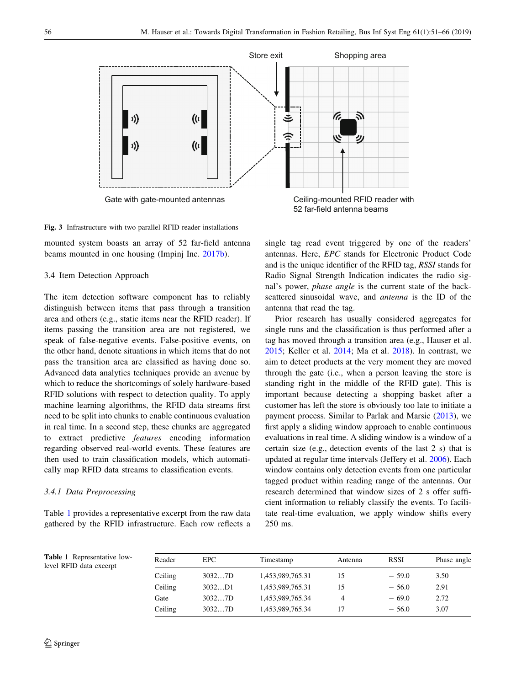<span id="page-5-0"></span>

Fig. 3 Infrastructure with two parallel RFID reader installations

mounted system boasts an array of 52 far-field antenna beams mounted in one housing (Impinj Inc. [2017b](#page-14-0)).

#### 3.4 Item Detection Approach

The item detection software component has to reliably distinguish between items that pass through a transition area and others (e.g., static items near the RFID reader). If items passing the transition area are not registered, we speak of false-negative events. False-positive events, on the other hand, denote situations in which items that do not pass the transition area are classified as having done so. Advanced data analytics techniques provide an avenue by which to reduce the shortcomings of solely hardware-based RFID solutions with respect to detection quality. To apply machine learning algorithms, the RFID data streams first need to be split into chunks to enable continuous evaluation in real time. In a second step, these chunks are aggregated to extract predictive features encoding information regarding observed real-world events. These features are then used to train classification models, which automatically map RFID data streams to classification events.

#### 3.4.1 Data Preprocessing

Table 1 provides a representative excerpt from the raw data gathered by the RFID infrastructure. Each row reflects a single tag read event triggered by one of the readers' antennas. Here, EPC stands for Electronic Product Code and is the unique identifier of the RFID tag, RSSI stands for Radio Signal Strength Indication indicates the radio signal's power, phase angle is the current state of the backscattered sinusoidal wave, and antenna is the ID of the antenna that read the tag.

Prior research has usually considered aggregates for single runs and the classification is thus performed after a tag has moved through a transition area (e.g., Hauser et al. [2015](#page-14-0); Keller et al. [2014](#page-14-0); Ma et al. [2018](#page-14-0)). In contrast, we aim to detect products at the very moment they are moved through the gate (i.e., when a person leaving the store is standing right in the middle of the RFID gate). This is important because detecting a shopping basket after a customer has left the store is obviously too late to initiate a payment process. Similar to Parlak and Marsic ([2013\)](#page-15-0), we first apply a sliding window approach to enable continuous evaluations in real time. A sliding window is a window of a certain size (e.g., detection events of the last 2 s) that is updated at regular time intervals (Jeffery et al. [2006\)](#page-14-0). Each window contains only detection events from one particular tagged product within reading range of the antennas. Our research determined that window sizes of 2 s offer sufficient information to reliably classify the events. To facilitate real-time evaluation, we apply window shifts every 250 ms.

Table 1 Representative lowlevel RFID data excerpt

| Reader  | EPC.   | Timestamp        | Antenna | RSSI    | Phase angle |  |  |
|---------|--------|------------------|---------|---------|-------------|--|--|
| Ceiling | 30327D | 1,453,989,765.31 | 15      | $-59.0$ | 3.50        |  |  |
| Ceiling | 3032D1 | 1,453,989,765.31 | 15      | $-56.0$ | 2.91        |  |  |
| Gate    | 30327D | 1,453,989,765.34 | 4       | $-69.0$ | 2.72        |  |  |
| Ceiling | 30327D | 1,453,989,765.34 | -17     | $-56.0$ | 3.07        |  |  |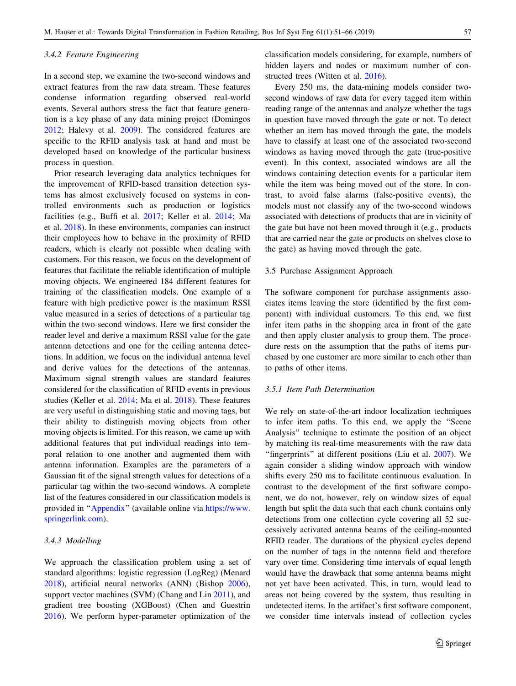#### <span id="page-6-0"></span>3.4.2 Feature Engineering

In a second step, we examine the two-second windows and extract features from the raw data stream. These features condense information regarding observed real-world events. Several authors stress the fact that feature generation is a key phase of any data mining project (Domingos [2012;](#page-14-0) Halevy et al. [2009](#page-14-0)). The considered features are specific to the RFID analysis task at hand and must be developed based on knowledge of the particular business process in question.

Prior research leveraging data analytics techniques for the improvement of RFID-based transition detection systems has almost exclusively focused on systems in controlled environments such as production or logistics facilities (e.g., Buffi et al. [2017;](#page-14-0) Keller et al. [2014](#page-14-0); Ma et al. [2018](#page-14-0)). In these environments, companies can instruct their employees how to behave in the proximity of RFID readers, which is clearly not possible when dealing with customers. For this reason, we focus on the development of features that facilitate the reliable identification of multiple moving objects. We engineered 184 different features for training of the classification models. One example of a feature with high predictive power is the maximum RSSI value measured in a series of detections of a particular tag within the two-second windows. Here we first consider the reader level and derive a maximum RSSI value for the gate antenna detections and one for the ceiling antenna detections. In addition, we focus on the individual antenna level and derive values for the detections of the antennas. Maximum signal strength values are standard features considered for the classification of RFID events in previous studies (Keller et al. [2014](#page-14-0); Ma et al. [2018\)](#page-14-0). These features are very useful in distinguishing static and moving tags, but their ability to distinguish moving objects from other moving objects is limited. For this reason, we came up with additional features that put individual readings into temporal relation to one another and augmented them with antenna information. Examples are the parameters of a Gaussian fit of the signal strength values for detections of a particular tag within the two-second windows. A complete list of the features considered in our classification models is provided in '['Appendix](#page-12-0)'' (available online via [https://www.](https://www.springerlink.com) [springerlink.com](https://www.springerlink.com)).

## 3.4.3 Modelling

We approach the classification problem using a set of standard algorithms: logistic regression (LogReg) (Menard [2018\)](#page-14-0), artificial neural networks (ANN) (Bishop [2006](#page-14-0)), support vector machines (SVM) (Chang and Lin [2011](#page-14-0)), and gradient tree boosting (XGBoost) (Chen and Guestrin [2016\)](#page-14-0). We perform hyper-parameter optimization of the classification models considering, for example, numbers of hidden layers and nodes or maximum number of constructed trees (Witten et al. [2016](#page-15-0)).

Every 250 ms, the data-mining models consider twosecond windows of raw data for every tagged item within reading range of the antennas and analyze whether the tags in question have moved through the gate or not. To detect whether an item has moved through the gate, the models have to classify at least one of the associated two-second windows as having moved through the gate (true-positive event). In this context, associated windows are all the windows containing detection events for a particular item while the item was being moved out of the store. In contrast, to avoid false alarms (false-positive events), the models must not classify any of the two-second windows associated with detections of products that are in vicinity of the gate but have not been moved through it (e.g., products that are carried near the gate or products on shelves close to the gate) as having moved through the gate.

#### 3.5 Purchase Assignment Approach

The software component for purchase assignments associates items leaving the store (identified by the first component) with individual customers. To this end, we first infer item paths in the shopping area in front of the gate and then apply cluster analysis to group them. The procedure rests on the assumption that the paths of items purchased by one customer are more similar to each other than to paths of other items.

## 3.5.1 Item Path Determination

We rely on state-of-the-art indoor localization techniques to infer item paths. To this end, we apply the ''Scene Analysis'' technique to estimate the position of an object by matching its real-time measurements with the raw data "fingerprints" at different positions (Liu et al. [2007\)](#page-14-0). We again consider a sliding window approach with window shifts every 250 ms to facilitate continuous evaluation. In contrast to the development of the first software component, we do not, however, rely on window sizes of equal length but split the data such that each chunk contains only detections from one collection cycle covering all 52 successively activated antenna beams of the ceiling-mounted RFID reader. The durations of the physical cycles depend on the number of tags in the antenna field and therefore vary over time. Considering time intervals of equal length would have the drawback that some antenna beams might not yet have been activated. This, in turn, would lead to areas not being covered by the system, thus resulting in undetected items. In the artifact's first software component, we consider time intervals instead of collection cycles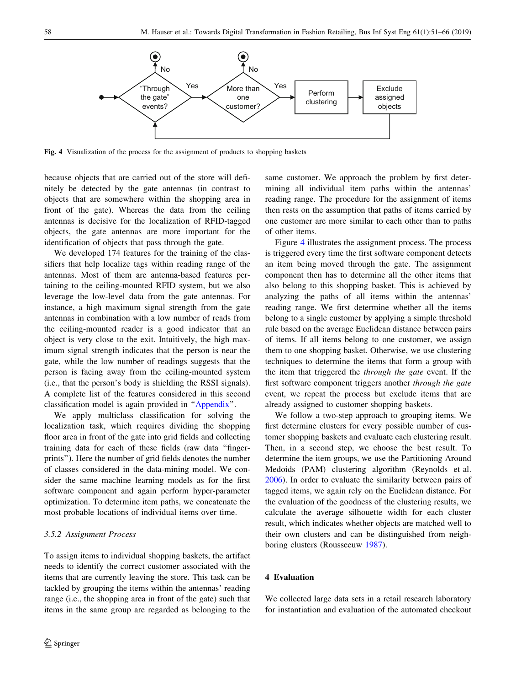

Fig. 4 Visualization of the process for the assignment of products to shopping baskets

because objects that are carried out of the store will definitely be detected by the gate antennas (in contrast to objects that are somewhere within the shopping area in front of the gate). Whereas the data from the ceiling antennas is decisive for the localization of RFID-tagged objects, the gate antennas are more important for the identification of objects that pass through the gate.

We developed 174 features for the training of the classifiers that help localize tags within reading range of the antennas. Most of them are antenna-based features pertaining to the ceiling-mounted RFID system, but we also leverage the low-level data from the gate antennas. For instance, a high maximum signal strength from the gate antennas in combination with a low number of reads from the ceiling-mounted reader is a good indicator that an object is very close to the exit. Intuitively, the high maximum signal strength indicates that the person is near the gate, while the low number of readings suggests that the person is facing away from the ceiling-mounted system (i.e., that the person's body is shielding the RSSI signals). A complete list of the features considered in this second classification model is again provided in ''[Appendix'](#page-12-0)'.

We apply multiclass classification for solving the localization task, which requires dividing the shopping floor area in front of the gate into grid fields and collecting training data for each of these fields (raw data ''fingerprints''). Here the number of grid fields denotes the number of classes considered in the data-mining model. We consider the same machine learning models as for the first software component and again perform hyper-parameter optimization. To determine item paths, we concatenate the most probable locations of individual items over time.

#### 3.5.2 Assignment Process

To assign items to individual shopping baskets, the artifact needs to identify the correct customer associated with the items that are currently leaving the store. This task can be tackled by grouping the items within the antennas' reading range (i.e., the shopping area in front of the gate) such that items in the same group are regarded as belonging to the same customer. We approach the problem by first determining all individual item paths within the antennas' reading range. The procedure for the assignment of items then rests on the assumption that paths of items carried by one customer are more similar to each other than to paths of other items.

Figure 4 illustrates the assignment process. The process is triggered every time the first software component detects an item being moved through the gate. The assignment component then has to determine all the other items that also belong to this shopping basket. This is achieved by analyzing the paths of all items within the antennas' reading range. We first determine whether all the items belong to a single customer by applying a simple threshold rule based on the average Euclidean distance between pairs of items. If all items belong to one customer, we assign them to one shopping basket. Otherwise, we use clustering techniques to determine the items that form a group with the item that triggered the through the gate event. If the first software component triggers another through the gate event, we repeat the process but exclude items that are already assigned to customer shopping baskets.

We follow a two-step approach to grouping items. We first determine clusters for every possible number of customer shopping baskets and evaluate each clustering result. Then, in a second step, we choose the best result. To determine the item groups, we use the Partitioning Around Medoids (PAM) clustering algorithm (Reynolds et al. [2006](#page-15-0)). In order to evaluate the similarity between pairs of tagged items, we again rely on the Euclidean distance. For the evaluation of the goodness of the clustering results, we calculate the average silhouette width for each cluster result, which indicates whether objects are matched well to their own clusters and can be distinguished from neighboring clusters (Rousseeuw [1987\)](#page-15-0).

# 4 Evaluation

We collected large data sets in a retail research laboratory for instantiation and evaluation of the automated checkout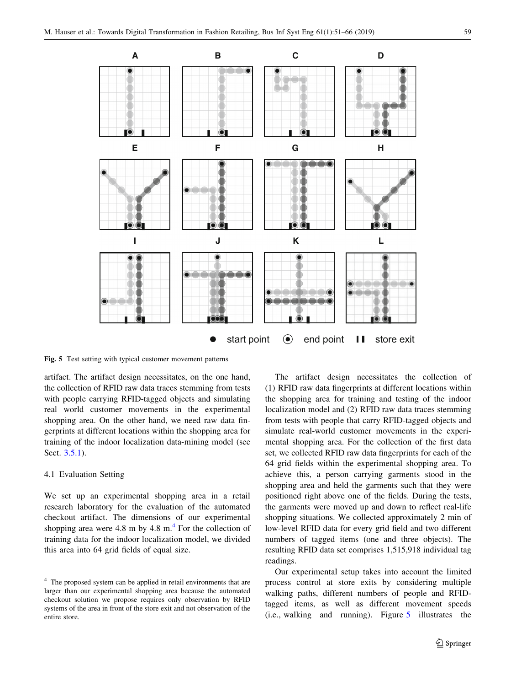<span id="page-8-0"></span>

Fig. 5 Test setting with typical customer movement patterns

artifact. The artifact design necessitates, on the one hand, the collection of RFID raw data traces stemming from tests with people carrying RFID-tagged objects and simulating real world customer movements in the experimental shopping area. On the other hand, we need raw data fingerprints at different locations within the shopping area for training of the indoor localization data-mining model (see Sect. [3.5.1](#page-6-0)).

#### 4.1 Evaluation Setting

We set up an experimental shopping area in a retail research laboratory for the evaluation of the automated checkout artifact. The dimensions of our experimental shopping area were 4.8 m by 4.8 m. $<sup>4</sup>$  For the collection of</sup> training data for the indoor localization model, we divided this area into 64 grid fields of equal size.

The artifact design necessitates the collection of (1) RFID raw data fingerprints at different locations within the shopping area for training and testing of the indoor localization model and (2) RFID raw data traces stemming from tests with people that carry RFID-tagged objects and simulate real-world customer movements in the experimental shopping area. For the collection of the first data set, we collected RFID raw data fingerprints for each of the 64 grid fields within the experimental shopping area. To achieve this, a person carrying garments stood in the shopping area and held the garments such that they were positioned right above one of the fields. During the tests, the garments were moved up and down to reflect real-life shopping situations. We collected approximately 2 min of low-level RFID data for every grid field and two different numbers of tagged items (one and three objects). The resulting RFID data set comprises 1,515,918 individual tag readings.

Our experimental setup takes into account the limited process control at store exits by considering multiple walking paths, different numbers of people and RFIDtagged items, as well as different movement speeds (i.e., walking and running). Figure 5 illustrates the

 $4\overline{ }$  The proposed system can be applied in retail environments that are larger than our experimental shopping area because the automated checkout solution we propose requires only observation by RFID systems of the area in front of the store exit and not observation of the entire store.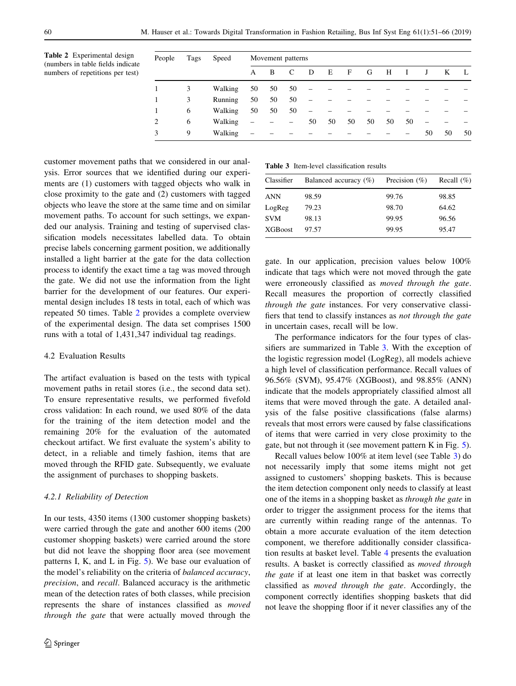Table 2 Experimental design (numbers in table fields indicate numbers of repetitions per test)

| People | Tags | Speed   |                          | Movement patterns |    |                          |    |    |    |    |    |    |    |    |
|--------|------|---------|--------------------------|-------------------|----|--------------------------|----|----|----|----|----|----|----|----|
|        |      |         | A                        | B                 | C  | D                        | Е  | F  | G  | H  |    | J  | K  | Ι. |
|        | 3    | Walking | 50                       | 50                | 50 |                          |    |    |    |    |    |    |    |    |
|        | 3    | Running | 50                       | 50                | 50 |                          |    |    |    |    |    |    |    |    |
|        | 6    | Walking | 50                       | 50                | 50 | $\overline{\phantom{0}}$ |    |    |    |    |    |    |    |    |
| 2      | 6    | Walking | $\overline{\phantom{0}}$ |                   | -  | 50                       | 50 | 50 | 50 | 50 | 50 |    |    |    |
| 3      | 9    | Walking | $\overline{\phantom{0}}$ |                   |    |                          |    |    |    |    | -  | 50 | 50 | 50 |

customer movement paths that we considered in our analysis. Error sources that we identified during our experiments are (1) customers with tagged objects who walk in close proximity to the gate and (2) customers with tagged objects who leave the store at the same time and on similar movement paths. To account for such settings, we expanded our analysis. Training and testing of supervised classification models necessitates labelled data. To obtain precise labels concerning garment position, we additionally installed a light barrier at the gate for the data collection process to identify the exact time a tag was moved through the gate. We did not use the information from the light barrier for the development of our features. Our experimental design includes 18 tests in total, each of which was repeated 50 times. Table 2 provides a complete overview of the experimental design. The data set comprises 1500 runs with a total of 1,431,347 individual tag readings.

## 4.2 Evaluation Results

The artifact evaluation is based on the tests with typical movement paths in retail stores (i.e., the second data set). To ensure representative results, we performed fivefold cross validation: In each round, we used 80% of the data for the training of the item detection model and the remaining 20% for the evaluation of the automated checkout artifact. We first evaluate the system's ability to detect, in a reliable and timely fashion, items that are moved through the RFID gate. Subsequently, we evaluate the assignment of purchases to shopping baskets.

#### 4.2.1 Reliability of Detection

In our tests, 4350 items (1300 customer shopping baskets) were carried through the gate and another 600 items (200 customer shopping baskets) were carried around the store but did not leave the shopping floor area (see movement patterns I, K, and L in Fig. [5](#page-8-0)). We base our evaluation of the model's reliability on the criteria of balanced accuracy, precision, and recall. Balanced accuracy is the arithmetic mean of the detection rates of both classes, while precision represents the share of instances classified as moved through the gate that were actually moved through the

Table 3 Item-level classification results

| Classifier     | Balanced accuracy $(\%)$ | Precision $(\% )$ | Recall $(\%)$ |
|----------------|--------------------------|-------------------|---------------|
| <b>ANN</b>     | 98.59                    | 99.76             | 98.85         |
| LogReg         | 79.23                    | 98.70             | 64.62         |
| <b>SVM</b>     | 98.13                    | 99.95             | 96.56         |
| <b>XGBoost</b> | 97.57                    | 99.95             | 95.47         |

gate. In our application, precision values below 100% indicate that tags which were not moved through the gate were erroneously classified as moved through the gate. Recall measures the proportion of correctly classified through the gate instances. For very conservative classifiers that tend to classify instances as not through the gate in uncertain cases, recall will be low.

The performance indicators for the four types of classifiers are summarized in Table 3. With the exception of the logistic regression model (LogReg), all models achieve a high level of classification performance. Recall values of 96.56% (SVM), 95.47% (XGBoost), and 98.85% (ANN) indicate that the models appropriately classified almost all items that were moved through the gate. A detailed analysis of the false positive classifications (false alarms) reveals that most errors were caused by false classifications of items that were carried in very close proximity to the gate, but not through it (see movement pattern K in Fig. [5](#page-8-0)).

Recall values below 100% at item level (see Table 3) do not necessarily imply that some items might not get assigned to customers' shopping baskets. This is because the item detection component only needs to classify at least one of the items in a shopping basket as through the gate in order to trigger the assignment process for the items that are currently within reading range of the antennas. To obtain a more accurate evaluation of the item detection component, we therefore additionally consider classification results at basket level. Table [4](#page-10-0) presents the evaluation results. A basket is correctly classified as moved through the gate if at least one item in that basket was correctly classified as moved through the gate. Accordingly, the component correctly identifies shopping baskets that did not leave the shopping floor if it never classifies any of the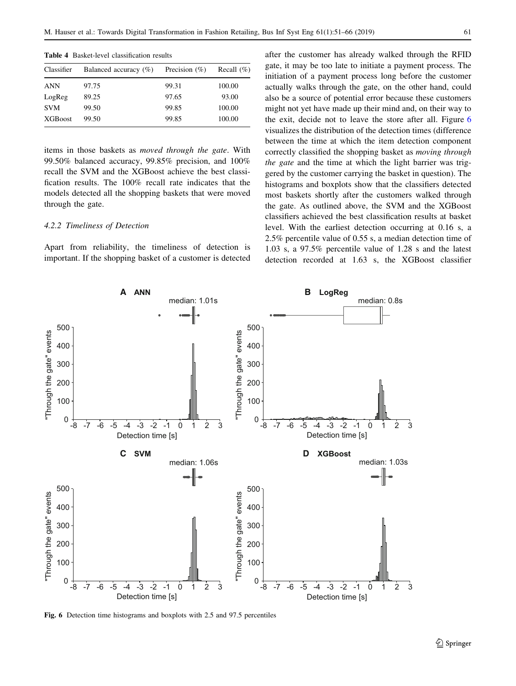| Classifier      | Balanced accuracy $(\%)$ | Precision $(\%)$ | Recall $(\% )$ |
|-----------------|--------------------------|------------------|----------------|
| <b>ANN</b>      | 97.75                    | 99.31            | 100.00         |
| LogReg          | 89.25                    | 97.65            | 93.00          |
| <b>SVM</b>      | 99.50                    | 99.85            | 100.00         |
| <b>XGB</b> oost | 99.50                    | 99.85            | 100.00         |

<span id="page-10-0"></span>Table 4 Basket-level classification results

items in those baskets as moved through the gate. With 99.50% balanced accuracy, 99.85% precision, and 100% recall the SVM and the XGBoost achieve the best classification results. The 100% recall rate indicates that the models detected all the shopping baskets that were moved through the gate.

## 4.2.2 Timeliness of Detection

Apart from reliability, the timeliness of detection is important. If the shopping basket of a customer is detected after the customer has already walked through the RFID gate, it may be too late to initiate a payment process. The initiation of a payment process long before the customer actually walks through the gate, on the other hand, could also be a source of potential error because these customers might not yet have made up their mind and, on their way to the exit, decide not to leave the store after all. Figure 6 visualizes the distribution of the detection times (difference between the time at which the item detection component correctly classified the shopping basket as moving through the gate and the time at which the light barrier was triggered by the customer carrying the basket in question). The histograms and boxplots show that the classifiers detected most baskets shortly after the customers walked through the gate. As outlined above, the SVM and the XGBoost classifiers achieved the best classification results at basket level. With the earliest detection occurring at 0.16 s, a 2.5% percentile value of 0.55 s, a median detection time of 1.03 s, a 97.5% percentile value of 1.28 s and the latest detection recorded at 1.63 s, the XGBoost classifier



Fig. 6 Detection time histograms and boxplots with 2.5 and 97.5 percentiles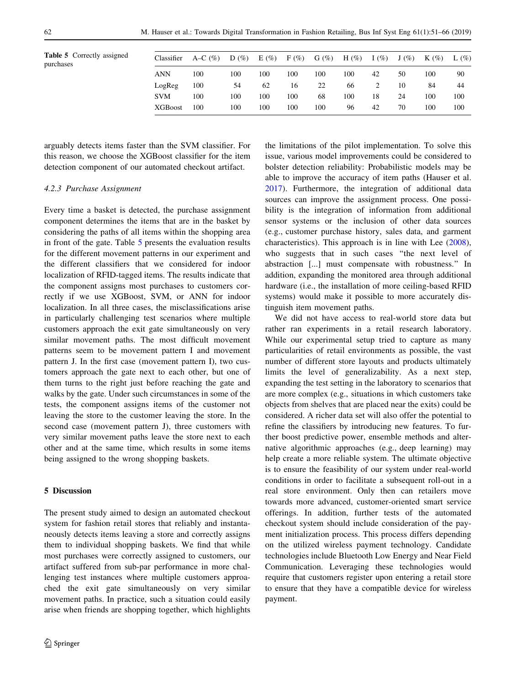|           | <b>Table 5</b> Correctly assigned |  |
|-----------|-----------------------------------|--|
| purchases |                                   |  |

| <b>Table 5</b> Correctly assigned<br>purchases | Classifier      | A–C $(\% )$ | D(%) | E(%) | $F(\%)$ | $G(\%)$ | H $(\%)$ | I $(\% )$ | $J(\%)$ | $K(\%)$ | $L(\%)$ |
|------------------------------------------------|-----------------|-------------|------|------|---------|---------|----------|-----------|---------|---------|---------|
|                                                | <b>ANN</b>      | 100         | 100  | 100  | 100     | 100     | 100      | 42        | 50      | 100     | 90      |
|                                                | LogReg          | 100         | 54   | 62   | 16      | 22      | 66       |           | 10      | 84      | 44      |
|                                                | <b>SVM</b>      | 100         | 100  | 100  | 100     | 68      | 100      | 18        | 24      | 100     | 100     |
|                                                | <b>XGB</b> oost | 100         | 100  | 100  | 100     | 100     | 96       | 42        | 70      | 100     | 100     |
|                                                |                 |             |      |      |         |         |          |           |         |         |         |

arguably detects items faster than the SVM classifier. For this reason, we choose the XGBoost classifier for the item detection component of our automated checkout artifact.

#### 4.2.3 Purchase Assignment

Every time a basket is detected, the purchase assignment component determines the items that are in the basket by considering the paths of all items within the shopping area in front of the gate. Table 5 presents the evaluation results for the different movement patterns in our experiment and the different classifiers that we considered for indoor localization of RFID-tagged items. The results indicate that the component assigns most purchases to customers correctly if we use XGBoost, SVM, or ANN for indoor localization. In all three cases, the misclassifications arise in particularly challenging test scenarios where multiple customers approach the exit gate simultaneously on very similar movement paths. The most difficult movement patterns seem to be movement pattern I and movement pattern J. In the first case (movement pattern I), two customers approach the gate next to each other, but one of them turns to the right just before reaching the gate and walks by the gate. Under such circumstances in some of the tests, the component assigns items of the customer not leaving the store to the customer leaving the store. In the second case (movement pattern J), three customers with very similar movement paths leave the store next to each other and at the same time, which results in some items being assigned to the wrong shopping baskets.

#### 5 Discussion

The present study aimed to design an automated checkout system for fashion retail stores that reliably and instantaneously detects items leaving a store and correctly assigns them to individual shopping baskets. We find that while most purchases were correctly assigned to customers, our artifact suffered from sub-par performance in more challenging test instances where multiple customers approached the exit gate simultaneously on very similar movement paths. In practice, such a situation could easily arise when friends are shopping together, which highlights

the limitations of the pilot implementation. To solve this issue, various model improvements could be considered to bolster detection reliability: Probabilistic models may be able to improve the accuracy of item paths (Hauser et al. [2017](#page-14-0)). Furthermore, the integration of additional data sources can improve the assignment process. One possibility is the integration of information from additional sensor systems or the inclusion of other data sources (e.g., customer purchase history, sales data, and garment characteristics). This approach is in line with Lee [\(2008](#page-14-0)), who suggests that in such cases "the next level of abstraction [...] must compensate with robustness.'' In addition, expanding the monitored area through additional hardware (i.e., the installation of more ceiling-based RFID systems) would make it possible to more accurately distinguish item movement paths.

We did not have access to real-world store data but rather ran experiments in a retail research laboratory. While our experimental setup tried to capture as many particularities of retail environments as possible, the vast number of different store layouts and products ultimately limits the level of generalizability. As a next step, expanding the test setting in the laboratory to scenarios that are more complex (e.g., situations in which customers take objects from shelves that are placed near the exits) could be considered. A richer data set will also offer the potential to refine the classifiers by introducing new features. To further boost predictive power, ensemble methods and alternative algorithmic approaches (e.g., deep learning) may help create a more reliable system. The ultimate objective is to ensure the feasibility of our system under real-world conditions in order to facilitate a subsequent roll-out in a real store environment. Only then can retailers move towards more advanced, customer-oriented smart service offerings. In addition, further tests of the automated checkout system should include consideration of the payment initialization process. This process differs depending on the utilized wireless payment technology. Candidate technologies include Bluetooth Low Energy and Near Field Communication. Leveraging these technologies would require that customers register upon entering a retail store to ensure that they have a compatible device for wireless payment.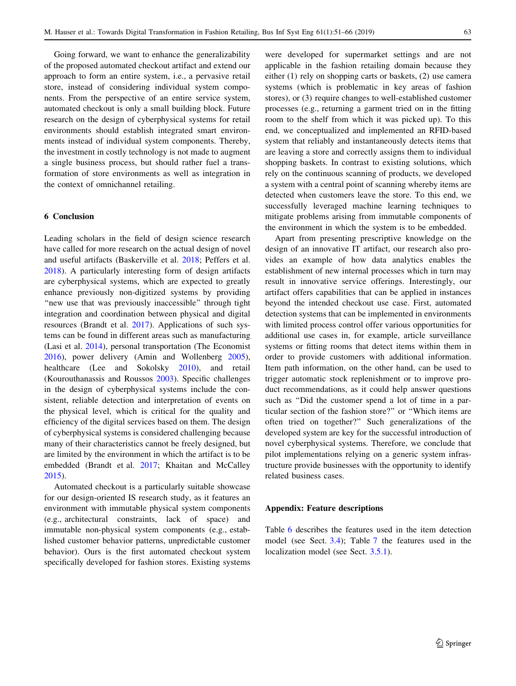<span id="page-12-0"></span>Going forward, we want to enhance the generalizability of the proposed automated checkout artifact and extend our approach to form an entire system, i.e., a pervasive retail store, instead of considering individual system components. From the perspective of an entire service system, automated checkout is only a small building block. Future research on the design of cyberphysical systems for retail environments should establish integrated smart environments instead of individual system components. Thereby, the investment in costly technology is not made to augment a single business process, but should rather fuel a transformation of store environments as well as integration in the context of omnichannel retailing.

## 6 Conclusion

Leading scholars in the field of design science research have called for more research on the actual design of novel and useful artifacts (Baskerville et al. [2018](#page-14-0); Peffers et al. [2018\)](#page-15-0). A particularly interesting form of design artifacts are cyberphysical systems, which are expected to greatly enhance previously non-digitized systems by providing "new use that was previously inaccessible" through tight integration and coordination between physical and digital resources (Brandt et al. [2017](#page-14-0)). Applications of such systems can be found in different areas such as manufacturing (Lasi et al. [2014\)](#page-14-0), personal transportation (The Economist [2016\)](#page-15-0), power delivery (Amin and Wollenberg [2005](#page-13-0)), healthcare (Lee and Sokolsky [2010](#page-14-0)), and retail (Kourouthanassis and Roussos [2003\)](#page-14-0). Specific challenges in the design of cyberphysical systems include the consistent, reliable detection and interpretation of events on the physical level, which is critical for the quality and efficiency of the digital services based on them. The design of cyberphysical systems is considered challenging because many of their characteristics cannot be freely designed, but are limited by the environment in which the artifact is to be embedded (Brandt et al. [2017;](#page-14-0) Khaitan and McCalley [2015\)](#page-14-0).

Automated checkout is a particularly suitable showcase for our design-oriented IS research study, as it features an environment with immutable physical system components (e.g., architectural constraints, lack of space) and immutable non-physical system components (e.g., established customer behavior patterns, unpredictable customer behavior). Ours is the first automated checkout system specifically developed for fashion stores. Existing systems

were developed for supermarket settings and are not applicable in the fashion retailing domain because they either (1) rely on shopping carts or baskets, (2) use camera systems (which is problematic in key areas of fashion stores), or (3) require changes to well-established customer processes (e.g., returning a garment tried on in the fitting room to the shelf from which it was picked up). To this end, we conceptualized and implemented an RFID-based system that reliably and instantaneously detects items that are leaving a store and correctly assigns them to individual shopping baskets. In contrast to existing solutions, which rely on the continuous scanning of products, we developed a system with a central point of scanning whereby items are detected when customers leave the store. To this end, we successfully leveraged machine learning techniques to mitigate problems arising from immutable components of the environment in which the system is to be embedded.

Apart from presenting prescriptive knowledge on the design of an innovative IT artifact, our research also provides an example of how data analytics enables the establishment of new internal processes which in turn may result in innovative service offerings. Interestingly, our artifact offers capabilities that can be applied in instances beyond the intended checkout use case. First, automated detection systems that can be implemented in environments with limited process control offer various opportunities for additional use cases in, for example, article surveillance systems or fitting rooms that detect items within them in order to provide customers with additional information. Item path information, on the other hand, can be used to trigger automatic stock replenishment or to improve product recommendations, as it could help answer questions such as ''Did the customer spend a lot of time in a particular section of the fashion store?'' or ''Which items are often tried on together?'' Such generalizations of the developed system are key for the successful introduction of novel cyberphysical systems. Therefore, we conclude that pilot implementations relying on a generic system infrastructure provide businesses with the opportunity to identify related business cases.

## Appendix: Feature descriptions

Table [6](#page-13-0) describes the features used in the item detection model (see Sect. [3.4](#page-5-0)); Table [7](#page-13-0) the features used in the localization model (see Sect. [3.5.1](#page-6-0)).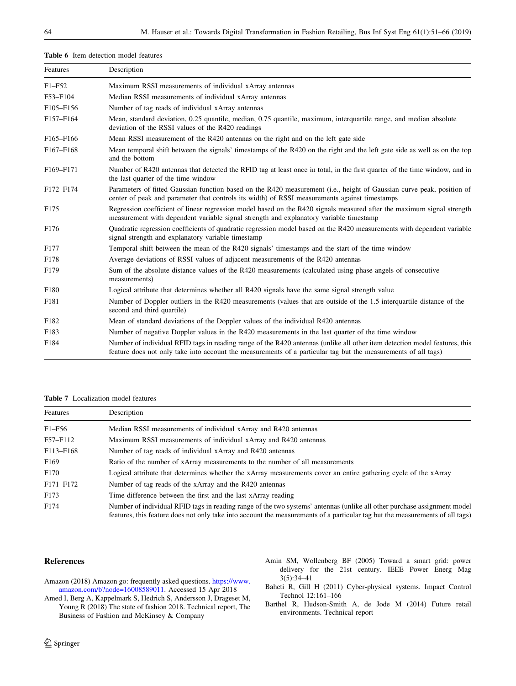<span id="page-13-0"></span>

| Features                           | Description                                                                                                                                                                                                                                  |
|------------------------------------|----------------------------------------------------------------------------------------------------------------------------------------------------------------------------------------------------------------------------------------------|
| $F1 - F52$                         | Maximum RSSI measurements of individual xArray antennas                                                                                                                                                                                      |
| F53-F104                           | Median RSSI measurements of individual xArray antennas                                                                                                                                                                                       |
| F <sub>105</sub> -F <sub>156</sub> | Number of tag reads of individual xArray antennas                                                                                                                                                                                            |
| F157-F164                          | Mean, standard deviation, 0.25 quantile, median, 0.75 quantile, maximum, interquartile range, and median absolute<br>deviation of the RSSI values of the R420 readings                                                                       |
| F <sub>165</sub> -F <sub>166</sub> | Mean RSSI measurement of the R420 antennas on the right and on the left gate side                                                                                                                                                            |
| F167-F168                          | Mean temporal shift between the signals' timestamps of the R420 on the right and the left gate side as well as on the top<br>and the bottom                                                                                                  |
| F169-F171                          | Number of R420 antennas that detected the RFID tag at least once in total, in the first quarter of the time window, and in<br>the last quarter of the time window                                                                            |
| F172-F174                          | Parameters of fitted Gaussian function based on the R420 measurement (i.e., height of Gaussian curve peak, position of<br>center of peak and parameter that controls its width) of RSSI measurements against timestamps                      |
| F <sub>175</sub>                   | Regression coefficient of linear regression model based on the R420 signals measured after the maximum signal strength<br>measurement with dependent variable signal strength and explanatory variable timestamp                             |
| F <sub>176</sub>                   | Quadratic regression coefficients of quadratic regression model based on the R420 measurements with dependent variable<br>signal strength and explanatory variable timestamp                                                                 |
| F <sub>177</sub>                   | Temporal shift between the mean of the R420 signals' timestamps and the start of the time window                                                                                                                                             |
| F178                               | Average deviations of RSSI values of adjacent measurements of the R420 antennas                                                                                                                                                              |
| F179                               | Sum of the absolute distance values of the R420 measurements (calculated using phase angels of consecutive<br>measurements)                                                                                                                  |
| F180                               | Logical attribute that determines whether all R420 signals have the same signal strength value                                                                                                                                               |
| F181                               | Number of Doppler outliers in the R420 measurements (values that are outside of the 1.5 interquartile distance of the<br>second and third quartile)                                                                                          |
| F182                               | Mean of standard deviations of the Doppler values of the individual R420 antennas                                                                                                                                                            |
| F183                               | Number of negative Doppler values in the R420 measurements in the last quarter of the time window                                                                                                                                            |
| F184                               | Number of individual RFID tags in reading range of the R420 antennas (unlike all other item detection model features, this<br>feature does not only take into account the measurements of a particular tag but the measurements of all tags) |

#### Table 7 Localization model features

| Features         | Description                                                                                                                                                                                                                                               |
|------------------|-----------------------------------------------------------------------------------------------------------------------------------------------------------------------------------------------------------------------------------------------------------|
| $F1-F56$         | Median RSSI measurements of individual xArray and R420 antennas                                                                                                                                                                                           |
| F57-F112         | Maximum RSSI measurements of individual xArray and R420 antennas                                                                                                                                                                                          |
| F113-F168        | Number of tag reads of individual xArray and R420 antennas                                                                                                                                                                                                |
| F <sub>169</sub> | Ratio of the number of xArray measurements to the number of all measurements                                                                                                                                                                              |
| F <sub>170</sub> | Logical attribute that determines whether the xArray measurements cover an entire gathering cycle of the xArray                                                                                                                                           |
| F171-F172        | Number of tag reads of the xArray and the R420 antennas                                                                                                                                                                                                   |
| F <sub>173</sub> | Time difference between the first and the last xArray reading                                                                                                                                                                                             |
| F174             | Number of individual RFID tags in reading range of the two systems' antennas (unlike all other purchase assignment model<br>features, this feature does not only take into account the measurements of a particular tag but the measurements of all tags) |

## References

- Amazon (2018) Amazon go: frequently asked questions. [https://www.](https://www.amazon.com/b?node=16008589011) [amazon.com/b?node=16008589011.](https://www.amazon.com/b?node=16008589011) Accessed 15 Apr 2018
- Amed I, Berg A, Kappelmark S, Hedrich S, Andersson J, Drageset M, Young R (2018) The state of fashion 2018. Technical report, The Business of Fashion and McKinsey & Company
- Amin SM, Wollenberg BF (2005) Toward a smart grid: power delivery for the 21st century. IEEE Power Energ Mag 3(5):34–41
- Baheti R, Gill H (2011) Cyber-physical systems. Impact Control Technol 12:161–166
- Barthel R, Hudson-Smith A, de Jode M (2014) Future retail environments. Technical report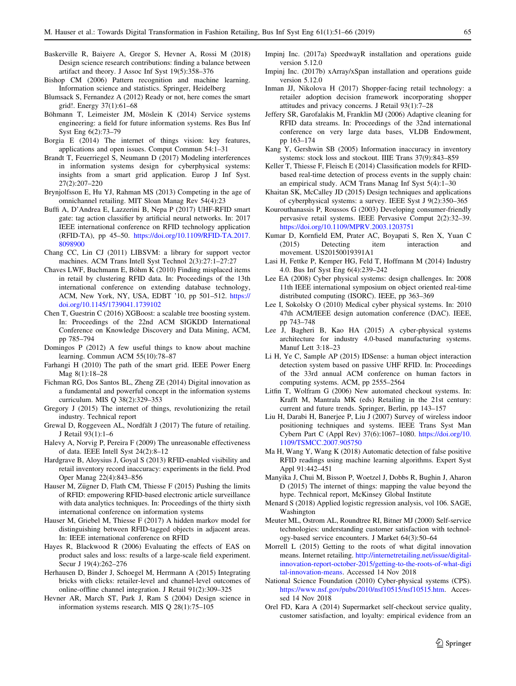- <span id="page-14-0"></span>Baskerville R, Baiyere A, Gregor S, Hevner A, Rossi M (2018) Design science research contributions: finding a balance between artifact and theory. J Assoc Inf Syst 19(5):358–376
- Bishop CM (2006) Pattern recognition and machine learning. Information science and statistics. Springer, Heidelberg
- Blumsack S, Fernandez A (2012) Ready or not, here comes the smart grid!. Energy 37(1):61–68
- Böhmann T, Leimeister JM, Möslein K (2014) Service systems engineering: a field for future information systems. Res Bus Inf Syst Eng 6(2):73–79
- Borgia E (2014) The internet of things vision: key features, applications and open issues. Comput Commun 54:1–31
- Brandt T, Feuerriegel S, Neumann D (2017) Modeling interferences in information systems design for cyberphysical systems: insights from a smart grid application. Europ J Inf Syst. 27(2):207–220
- Brynjolfsson E, Hu YJ, Rahman MS (2013) Competing in the age of omnichannel retailing. MIT Sloan Manag Rev 54(4):23
- Buffi A, D'Andrea E, Lazzerini B, Nepa P (2017) UHF-RFID smart gate: tag action classifier by artificial neural networks. In: 2017 IEEE international conference on RFID technology application (RFID-TA), pp 45–50. [https://doi.org/10.1109/RFID-TA.2017.](https://doi.org/10.1109/RFID-TA.2017.8098900) [8098900](https://doi.org/10.1109/RFID-TA.2017.8098900)
- Chang CC, Lin CJ (2011) LIBSVM: a library for support vector machines. ACM Trans Intell Syst Technol 2(3):27:1–27:27
- Chaves LWF, Buchmann E, Böhm K (2010) Finding misplaced items in retail by clustering RFID data. In: Proceedings of the 13th international conference on extending database technology, ACM, New York, NY, USA, EDBT '10, pp 501–512. [https://](https://doi.org/10.1145/1739041.1739102) [doi.org/10.1145/1739041.1739102](https://doi.org/10.1145/1739041.1739102)
- Chen T, Guestrin C (2016) XGBoost: a scalable tree boosting system. In: Proceedings of the 22nd ACM SIGKDD International Conference on Knowledge Discovery and Data Mining, ACM, pp 785–794
- Domingos P (2012) A few useful things to know about machine learning. Commun ACM 55(10):78–87
- Farhangi H (2010) The path of the smart grid. IEEE Power Energ Mag 8(1):18–28
- Fichman RG, Dos Santos BL, Zheng ZE (2014) Digital innovation as a fundamental and powerful concept in the information systems curriculum. MIS Q 38(2):329–353
- Gregory J (2015) The internet of things, revolutionizing the retail industry. Technical report
- Grewal D, Roggeveen AL, Nordfält J (2017) The future of retailing. J Retail 93(1):1–6
- Halevy A, Norvig P, Pereira F (2009) The unreasonable effectiveness of data. IEEE Intell Syst 24(2):8–12
- Hardgrave B, Aloysius J, Goyal S (2013) RFID-enabled visibility and retail inventory record inaccuracy: experiments in the field. Prod Oper Manag 22(4):843–856
- Hauser M, Zügner D, Flath CM, Thiesse F (2015) Pushing the limits of RFID: empowering RFID-based electronic article surveillance with data analytics techniques. In: Proceedings of the thirty sixth international conference on information systems
- Hauser M, Griebel M, Thiesse F (2017) A hidden markov model for distinguishing between RFID-tagged objects in adjacent areas. In: IEEE international conference on RFID
- Hayes R, Blackwood R (2006) Evaluating the effects of EAS on product sales and loss: results of a large-scale field experiment. Secur J 19(4):262–276
- Herhausen D, Binder J, Schoegel M, Herrmann A (2015) Integrating bricks with clicks: retailer-level and channel-level outcomes of online-offline channel integration. J Retail 91(2):309–325
- Hevner AR, March ST, Park J, Ram S (2004) Design science in information systems research. MIS Q 28(1):75–105
- Impinj Inc. (2017a) SpeedwayR installation and operations guide version 5.12.0
- Impinj Inc. (2017b) xArray/xSpan installation and operations guide version 5.12.0
- Inman JJ, Nikolova H (2017) Shopper-facing retail technology: a retailer adoption decision framework incorporating shopper attitudes and privacy concerns. J Retail 93(1):7–28
- Jeffery SR, Garofalakis M, Franklin MJ (2006) Adaptive cleaning for RFID data streams. In: Proceedings of the 32nd international conference on very large data bases, VLDB Endowment, pp 163–174
- Kang Y, Gershwin SB (2005) Information inaccuracy in inventory systems: stock loss and stockout. IIIE Trans 37(9):843–859
- Keller T, Thiesse F, Fleisch E (2014) Classification models for RFIDbased real-time detection of process events in the supply chain: an empirical study. ACM Trans Manag Inf Syst 5(4):1–30
- Khaitan SK, McCalley JD (2015) Design techniques and applications of cyberphysical systems: a survey. IEEE Syst J 9(2):350–365
- Kourouthanassis P, Roussos G (2003) Developing consumer-friendly pervasive retail systems. IEEE Pervasive Comput 2(2):32–39. <https://doi.org/10.1109/MPRV.2003.1203751>
- Kumar D, Kornfield EM, Prater AC, Boyapati S, Ren X, Yuan C (2015) Detecting item interaction and movement. US20150019391A1
- Lasi H, Fettke P, Kemper HG, Feld T, Hoffmann M (2014) Industry 4.0. Bus Inf Syst Eng 6(4):239–242
- Lee EA (2008) Cyber physical systems: design challenges. In: 2008 11th IEEE international symposium on object oriented real-time distributed computing (ISORC). IEEE, pp 363–369
- Lee I, Sokolsky O (2010) Medical cyber physical systems. In: 2010 47th ACM/IEEE design automation conference (DAC). IEEE, pp 743–748
- Lee J, Bagheri B, Kao HA (2015) A cyber-physical systems architecture for industry 4.0-based manufacturing systems. Manuf Lett 3:18–23
- Li H, Ye C, Sample AP (2015) IDSense: a human object interaction detection system based on passive UHF RFID. In: Proceedings of the 33rd annual ACM conference on human factors in computing systems. ACM, pp 2555–2564
- Litfin T, Wolfram G (2006) New automated checkout systems. In: Krafft M, Mantrala MK (eds) Retailing in the 21st century: current and future trends. Springer, Berlin, pp 143–157
- Liu H, Darabi H, Banerjee P, Liu J (2007) Survey of wireless indoor positioning techniques and systems. IEEE Trans Syst Man Cybern Part C (Appl Rev) 37(6):1067–1080. [https://doi.org/10.](https://doi.org/10.1109/TSMCC.2007.905750) [1109/TSMCC.2007.905750](https://doi.org/10.1109/TSMCC.2007.905750)
- Ma H, Wang Y, Wang K (2018) Automatic detection of false positive RFID readings using machine learning algorithms. Expert Syst Appl 91:442–451
- Manyika J, Chui M, Bisson P, Woetzel J, Dobbs R, Bughin J, Aharon D (2015) The internet of things: mapping the value beyond the hype. Technical report, McKinsey Global Institute
- Menard S (2018) Applied logistic regression analysis, vol 106. SAGE, Washington
- Meuter ML, Ostrom AL, Roundtree RI, Bitner MJ (2000) Self-service technologies: understanding customer satisfaction with technology-based service encounters. J Market 64(3):50–64
- Morrell L (2015) Getting to the roots of what digital innovation means. Internet retailing. [http://internetretailing.net/issue/digital](http://internetretailing.net/issue/digital-innovation-report-october-2015/getting-to-the-roots-of-what-digital-innovation-means)[innovation-report-october-2015/getting-to-the-roots-of-what-digi](http://internetretailing.net/issue/digital-innovation-report-october-2015/getting-to-the-roots-of-what-digital-innovation-means) [tal-innovation-means](http://internetretailing.net/issue/digital-innovation-report-october-2015/getting-to-the-roots-of-what-digital-innovation-means). Accessed 14 Nov 2018
- National Science Foundation (2010) Cyber-physical systems (CPS). <https://www.nsf.gov/pubs/2010/nsf10515/nsf10515.htm>. Accessed 14 Nov 2018
- Orel FD, Kara A (2014) Supermarket self-checkout service quality, customer satisfaction, and loyalty: empirical evidence from an